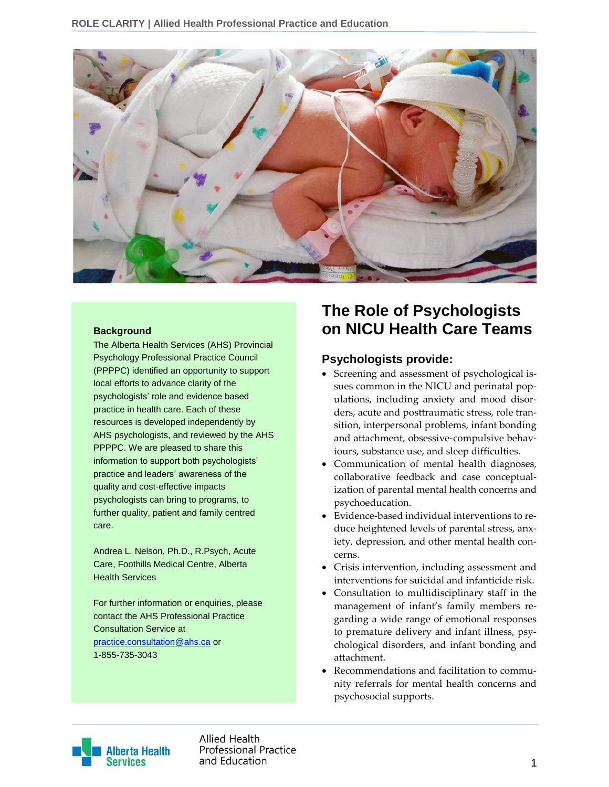

#### **Background**

The Alberta Health Services (AHS) Provincial Psychology Professional Practice Council (PPPPC) identified an opportunity to support local efforts to advance clarity of the psychologists' role and evidence based practice in health care. Each of these resources is developed independently by AHS psychologists, and reviewed by the AHS PPPPC. We are pleased to share this information to support both psychologists' practice and leaders' awareness of the quality and cost-effective impacts psychologists can bring to programs, to further quality, patient and family centred care.

Andrea L. Nelson, Ph.D., R.Psych, Acute Care, Foothills Medical Centre, Alberta Health Services

For further information or enquiries, please contact the AHS Professional Practice Consultation Service at [practice.consultation@ahs.ca](mailto:practice.consultation@ahs.ca) or 1-855-735-3043

# **The Role of Psychologists on NICU Health Care Teams**

# **Psychologists provide:**

- Screening and assessment of psychological issues common in the NICU and perinatal populations, including anxiety and mood disorders, acute and posttraumatic stress, role transition, interpersonal problems, infant bonding and attachment, obsessive-compulsive behaviours, substance use, and sleep difficulties.
- Communication of mental health diagnoses, collaborative feedback and case conceptualization of parental mental health concerns and psychoeducation.
- Evidence-based individual interventions to reduce heightened levels of parental stress, anxiety, depression, and other mental health concerns.
- Crisis intervention, including assessment and interventions for suicidal and infanticide risk.
- Consultation to multidisciplinary staff in the management of infant's family members regarding a wide range of emotional responses to premature delivery and infant illness, psychological disorders, and infant bonding and attachment.
- Recommendations and facilitation to community referrals for mental health concerns and psychosocial supports.



Allied Health **Professional Practice** and Education and Education and Education and Education and Education and Education and Education and Education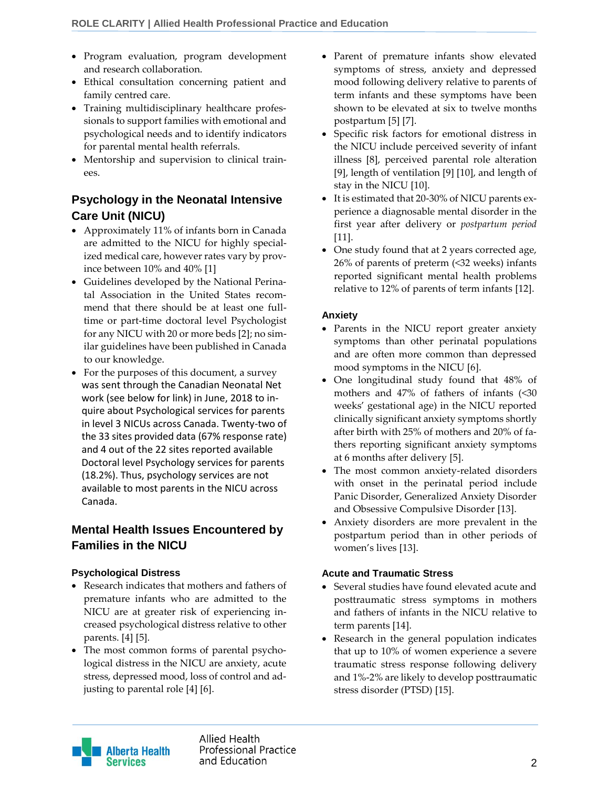- Program evaluation, program development and research collaboration.
- Ethical consultation concerning patient and family centred care.
- Training multidisciplinary healthcare professionals to support families with emotional and psychological needs and to identify indicators for parental mental health referrals.
- Mentorship and supervision to clinical trainees.

# **Psychology in the Neonatal Intensive Care Unit (NICU)**

- Approximately 11% of infants born in Canada are admitted to the NICU for highly specialized medical care, however rates vary by province between 10% and 40% [1]
- Guidelines developed by the National Perinatal Association in the United States recommend that there should be at least one fulltime or part-time doctoral level Psychologist for any NICU with 20 or more beds [2]; no similar guidelines have been published in Canada to our knowledge.
- For the purposes of this document, a survey was sent through the Canadian Neonatal Net work (see below for link) in June, 2018 to in quire about Psychological services for parents in level 3 NICUs across Canada. Twenty-two of the 33 sites provided data (67% response rate) and 4 out of the 22 sites reported available Doctoral level Psychology services for parents (18.2%). Thus, psychology services are not available to most parents in the NICU across Canada.

# **Mental Health Issues Encountered by Families in the NICU**

# **Psychological Distress**

- Research indicates that mothers and fathers of premature infants who are admitted to the NICU are at greater risk of experiencing increased psychological distress relative to other parents. [4] [5].
- The most common forms of parental psychological distress in the NICU are anxiety, acute stress, depressed mood, loss of control and adjusting to parental role [4] [6].
- Parent of premature infants show elevated symptoms of stress, anxiety and depressed mood following delivery relative to parents of term infants and these symptoms have been shown to be elevated at six to twelve months postpartum [5] [7].
- Specific risk factors for emotional distress in the NICU include perceived severity of infant illness [8], perceived parental role alteration [9], length of ventilation [9] [10], and length of stay in the NICU [10].
- It is estimated that 20-30% of NICU parents experience a diagnosable mental disorder in the first year after delivery or *postpartum period* [11].
- One study found that at 2 years corrected age, 26% of parents of preterm (<32 weeks) infants reported significant mental health problems relative to 12% of parents of term infants [12].

# **Anxiety**

- Parents in the NICU report greater anxiety symptoms than other perinatal populations and are often more common than depressed mood symptoms in the NICU [6].
- One longitudinal study found that 48% of mothers and 47% of fathers of infants (<30 weeks' gestational age) in the NICU reported clinically significant anxiety symptoms shortly after birth with 25% of mothers and 20% of fathers reporting significant anxiety symptoms at 6 months after delivery [5].
- The most common anxiety-related disorders with onset in the perinatal period include Panic Disorder, Generalized Anxiety Disorder and Obsessive Compulsive Disorder [13].
- Anxiety disorders are more prevalent in the postpartum period than in other periods of women's lives [13].

# **Acute and Traumatic Stress**

- Several studies have found elevated acute and posttraumatic stress symptoms in mothers and fathers of infants in the NICU relative to term parents [14].
- Research in the general population indicates that up to 10% of women experience a severe traumatic stress response following delivery and 1%-2% are likely to develop posttraumatic stress disorder (PTSD) [15].

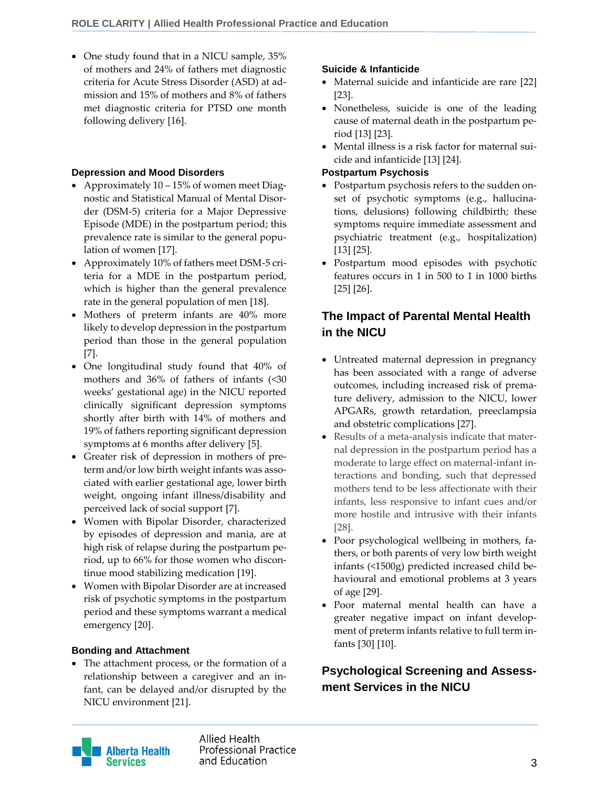• One study found that in a NICU sample, 35% of mothers and 24% of fathers met diagnostic criteria for Acute Stress Disorder (ASD) at admission and 15% of mothers and 8% of fathers met diagnostic criteria for PTSD one month following delivery [16].

### **Depression and Mood Disorders**

- Approximately 10 15% of women meet Diagnostic and Statistical Manual of Mental Disorder (DSM-5) criteria for a Major Depressive Episode (MDE) in the postpartum period; this prevalence rate is similar to the general population of women [17].
- Approximately 10% of fathers meet DSM-5 criteria for a MDE in the postpartum period, which is higher than the general prevalence rate in the general population of men [18].
- Mothers of preterm infants are 40% more likely to develop depression in the postpartum period than those in the general population [7].
- One longitudinal study found that 40% of mothers and 36% of fathers of infants (<30 weeks' gestational age) in the NICU reported clinically significant depression symptoms shortly after birth with 14% of mothers and 19% of fathers reporting significant depression symptoms at 6 months after delivery [5].
- Greater risk of depression in mothers of preterm and/or low birth weight infants was associated with earlier gestational age, lower birth weight, ongoing infant illness/disability and perceived lack of social support [7].
- Women with Bipolar Disorder, characterized by episodes of depression and mania, are at high risk of relapse during the postpartum period, up to 66% for those women who discontinue mood stabilizing medication [19].
- Women with Bipolar Disorder are at increased risk of psychotic symptoms in the postpartum period and these symptoms warrant a medical emergency [20].

### **Bonding and Attachment**

 The attachment process, or the formation of a relationship between a caregiver and an infant, can be delayed and/or disrupted by the NICU environment [21].

### **Suicide & Infanticide**

- Maternal suicide and infanticide are rare [22] [23].
- Nonetheless, suicide is one of the leading cause of maternal death in the postpartum period [13] [23].
- Mental illness is a risk factor for maternal suicide and infanticide [13] [24].

### **Postpartum Psychosis**

- Postpartum psychosis refers to the sudden onset of psychotic symptoms (e.g., hallucinations, delusions) following childbirth; these symptoms require immediate assessment and psychiatric treatment (e.g., hospitalization) [13] [25].
- Postpartum mood episodes with psychotic features occurs in 1 in 500 to 1 in 1000 births [25] [26].

# **The Impact of Parental Mental Health in the NICU**

- Untreated maternal depression in pregnancy has been associated with a range of adverse outcomes, including increased risk of premature delivery, admission to the NICU, lower APGARs, growth retardation, preeclampsia and obstetric complications [27].
- Results of a meta-analysis indicate that maternal depression in the postpartum period has a moderate to large effect on maternal-infant interactions and bonding, such that depressed mothers tend to be less affectionate with their infants, less responsive to infant cues and/or more hostile and intrusive with their infants [28].
- Poor psychological wellbeing in mothers, fathers, or both parents of very low birth weight infants (<1500g) predicted increased child behavioural and emotional problems at 3 years of age [29].
- Poor maternal mental health can have a greater negative impact on infant development of preterm infants relative to full term infants [30] [10].

# **Psychological Screening and Assessment Services in the NICU**



Allied Health **Professional Practice** and Education 3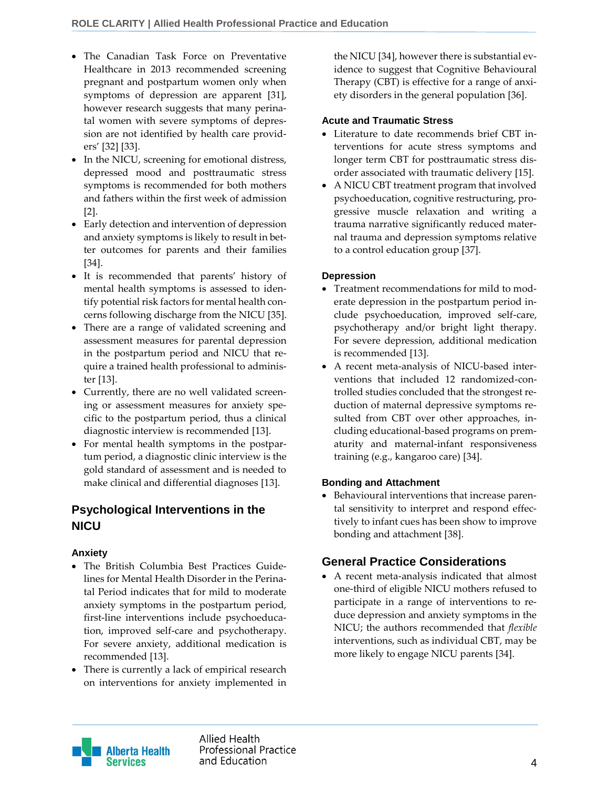- The Canadian Task Force on Preventative Healthcare in 2013 recommended screening pregnant and postpartum women only when symptoms of depression are apparent [31], however research suggests that many perinatal women with severe symptoms of depression are not identified by health care providers' [32] [33].
- In the NICU, screening for emotional distress, depressed mood and posttraumatic stress symptoms is recommended for both mothers and fathers within the first week of admission [2].
- Early detection and intervention of depression and anxiety symptoms is likely to result in better outcomes for parents and their families [34].
- It is recommended that parents' history of mental health symptoms is assessed to identify potential risk factors for mental health concerns following discharge from the NICU [35].
- There are a range of validated screening and assessment measures for parental depression in the postpartum period and NICU that require a trained health professional to administer [13].
- Currently, there are no well validated screening or assessment measures for anxiety specific to the postpartum period, thus a clinical diagnostic interview is recommended [13].
- For mental health symptoms in the postpartum period, a diagnostic clinic interview is the gold standard of assessment and is needed to make clinical and differential diagnoses [13].

# **Psychological Interventions in the NICU**

# **Anxiety**

- The British Columbia Best Practices Guidelines for Mental Health Disorder in the Perinatal Period indicates that for mild to moderate anxiety symptoms in the postpartum period, first-line interventions include psychoeducation, improved self-care and psychotherapy. For severe anxiety, additional medication is recommended [13].
- There is currently a lack of empirical research on interventions for anxiety implemented in

the NICU [34], however there is substantial evidence to suggest that Cognitive Behavioural Therapy (CBT) is effective for a range of anxiety disorders in the general population [36].

### **Acute and Traumatic Stress**

- Literature to date recommends brief CBT interventions for acute stress symptoms and longer term CBT for posttraumatic stress disorder associated with traumatic delivery [15].
- A NICU CBT treatment program that involved psychoeducation, cognitive restructuring, progressive muscle relaxation and writing a trauma narrative significantly reduced maternal trauma and depression symptoms relative to a control education group [37].

### **Depression**

- Treatment recommendations for mild to moderate depression in the postpartum period include psychoeducation, improved self-care, psychotherapy and/or bright light therapy. For severe depression, additional medication is recommended [13].
- A recent meta-analysis of NICU-based interventions that included 12 randomized-controlled studies concluded that the strongest reduction of maternal depressive symptoms resulted from CBT over other approaches, including educational-based programs on prematurity and maternal-infant responsiveness training (e.g., kangaroo care) [34].

# **Bonding and Attachment**

 Behavioural interventions that increase parental sensitivity to interpret and respond effectively to infant cues has been show to improve bonding and attachment [38].

# **General Practice Considerations**

 A recent meta-analysis indicated that almost one-third of eligible NICU mothers refused to participate in a range of interventions to reduce depression and anxiety symptoms in the NICU; the authors recommended that *flexible* interventions, such as individual CBT, may be more likely to engage NICU parents [34].



Allied Health **Professional Practice** and Education and Education and Education and Education and Education and Education and Education and A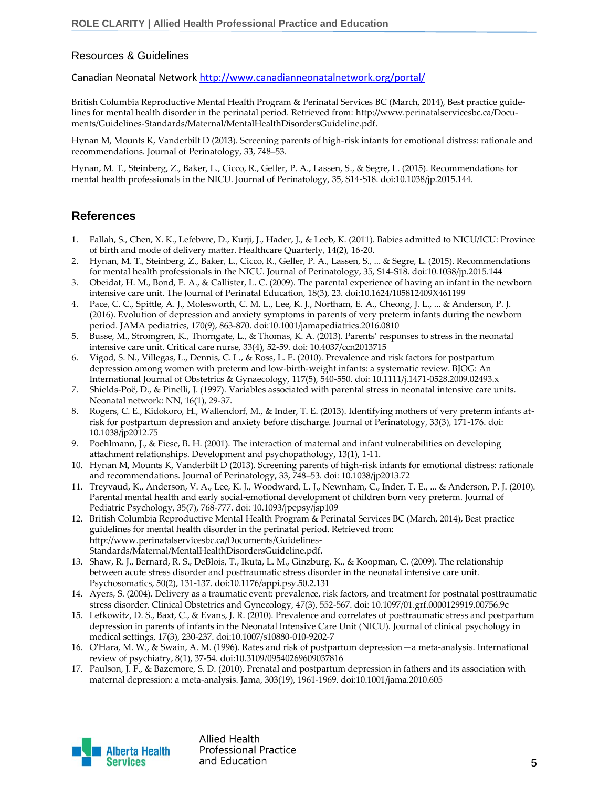#### Resources & Guidelines

Canadian Neonatal Network <http://www.canadianneonatalnetwork.org/portal/>

British Columbia Reproductive Mental Health Program & Perinatal Services BC (March, 2014), Best practice guidelines for mental health disorder in the perinatal period. Retrieved from: [http://www.perinatalservicesbc.ca/Docu](http://www.perinatalservicesbc.ca/Documents/Guidelines-Standards/Maternal/MentalHealthDisordersGuideline.pdf)[ments/Guidelines-Standards/Maternal/MentalHealthDisordersGuideline.pdf.](http://www.perinatalservicesbc.ca/Documents/Guidelines-Standards/Maternal/MentalHealthDisordersGuideline.pdf)

Hynan M, Mounts K, Vanderbilt D (2013). Screening parents of high-risk infants for emotional distress: rationale and recommendations. Journal of Perinatology, 33, 748–53.

Hynan, M. T., Steinberg, Z., Baker, L., Cicco, R., Geller, P. A., Lassen, S., & Segre, L. (2015). Recommendations for mental health professionals in the NICU. Journal of Perinatology, 35, S14-S18. doi:10.1038/jp.2015.144.

# **References**

- 1. Fallah, S., Chen, X. K., Lefebvre, D., Kurji, J., Hader, J., & Leeb, K. (2011). Babies admitted to NICU/ICU: Province of birth and mode of delivery matter. Healthcare Quarterly, 14(2), 16-20.
- 2. Hynan, M. T., Steinberg, Z., Baker, L., Cicco, R., Geller, P. A., Lassen, S., ... & Segre, L. (2015). Recommendations for mental health professionals in the NICU. Journal of Perinatology, 35, S14-S18. doi:10.1038/jp.2015.144
- 3. Obeidat, H. M., Bond, E. A., & Callister, L. C. (2009). The parental experience of having an infant in the newborn intensive care unit. The Journal of Perinatal Education, 18(3), 23. doi:10.1624/105812409X461199
- 4. Pace, C. C., Spittle, A. J., Molesworth, C. M. L., Lee, K. J., Northam, E. A., Cheong, J. L., ... & Anderson, P. J. (2016). Evolution of depression and anxiety symptoms in parents of very preterm infants during the newborn period. JAMA pediatrics, 170(9), 863-870. doi:10.1001/jamapediatrics.2016.0810
- 5. Busse, M., Stromgren, K., Thorngate, L., & Thomas, K. A. (2013). Parents' responses to stress in the neonatal intensive care unit. Critical care nurse, 33(4), 52-59. doi: 10.4037/ccn2013715
- 6. Vigod, S. N., Villegas, L., Dennis, C. L., & Ross, L. E. (2010). Prevalence and risk factors for postpartum depression among women with preterm and low‐birth‐weight infants: a systematic review. BJOG: An International Journal of Obstetrics & Gynaecology, 117(5), 540-550. doi: 10.1111/j.1471-0528.2009.02493.x
- 7. Shields-Poë, D., & Pinelli, J. (1997). Variables associated with parental stress in neonatal intensive care units. Neonatal network: NN, 16(1), 29-37.
- 8. Rogers, C. E., Kidokoro, H., Wallendorf, M., & Inder, T. E. (2013). Identifying mothers of very preterm infants atrisk for postpartum depression and anxiety before discharge. Journal of Perinatology, 33(3), 171-176. doi: 10.1038/jp2012.75
- 9. Poehlmann, J., & Fiese, B. H. (2001). The interaction of maternal and infant vulnerabilities on developing attachment relationships. Development and psychopathology, 13(1), 1-11.
- 10. Hynan M, Mounts K, Vanderbilt D (2013). Screening parents of high-risk infants for emotional distress: rationale and recommendations. Journal of Perinatology, 33, 748–53. doi: 10.1038/jp2013.72
- 11. Treyvaud, K., Anderson, V. A., Lee, K. J., Woodward, L. J., Newnham, C., Inder, T. E., ... & Anderson, P. J. (2010). Parental mental health and early social-emotional development of children born very preterm. Journal of Pediatric Psychology, 35(7), 768-777. doi: 10.1093/jpepsy/jsp109
- 12. British Columbia Reproductive Mental Health Program & Perinatal Services BC (March, 2014), Best practice guidelines for mental health disorder in the perinatal period. Retrieved from: http://www.perinatalservicesbc.ca/Documents/Guidelines-Standards/Maternal/MentalHealthDisordersGuideline.pdf.
- 13. Shaw, R. J., Bernard, R. S., DeBlois, T., Ikuta, L. M., Ginzburg, K., & Koopman, C. (2009). The relationship between acute stress disorder and posttraumatic stress disorder in the neonatal intensive care unit. Psychosomatics, 50(2), 131-137. doi:10.1176/appi.psy.50.2.131
- 14. Ayers, S. (2004). Delivery as a traumatic event: prevalence, risk factors, and treatment for postnatal posttraumatic stress disorder. Clinical Obstetrics and Gynecology, 47(3), 552-567. doi: 10.1097/01.grf.0000129919.00756.9c
- 15. Lefkowitz, D. S., Baxt, C., & Evans, J. R. (2010). Prevalence and correlates of posttraumatic stress and postpartum depression in parents of infants in the Neonatal Intensive Care Unit (NICU). Journal of clinical psychology in medical settings, 17(3), 230-237. doi:10.1007/s10880-010-9202-7
- 16. O'Hara, M. W., & Swain, A. M. (1996). Rates and risk of postpartum depression—a meta-analysis. International review of psychiatry, 8(1), 37-54. doi:10.3109/09540269609037816
- 17. Paulson, J. F., & Bazemore, S. D. (2010). Prenatal and postpartum depression in fathers and its association with maternal depression: a meta-analysis. Jama, 303(19), 1961-1969. doi:10.1001/jama.2010.605

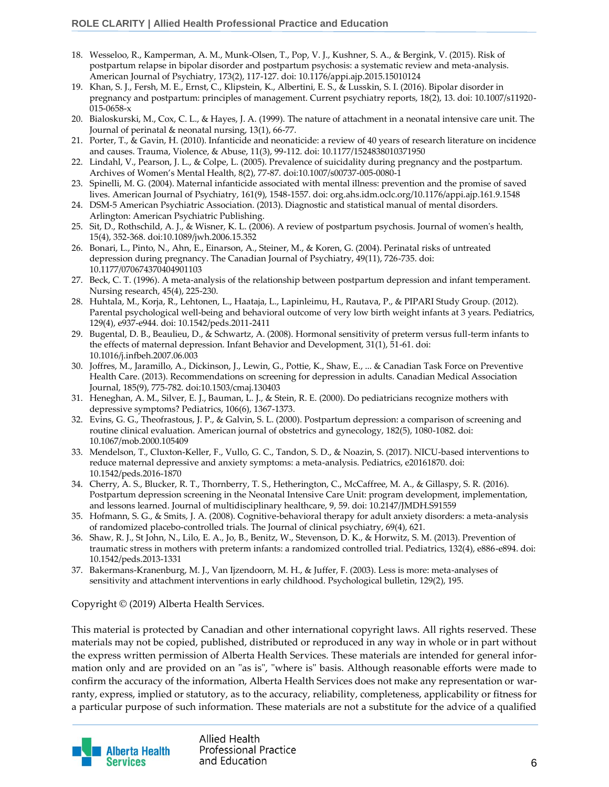- 18. Wesseloo, R., Kamperman, A. M., Munk-Olsen, T., Pop, V. J., Kushner, S. A., & Bergink, V. (2015). Risk of postpartum relapse in bipolar disorder and postpartum psychosis: a systematic review and meta-analysis. American Journal of Psychiatry, 173(2), 117-127. doi: 10.1176/appi.ajp.2015.15010124
- 19. Khan, S. J., Fersh, M. E., Ernst, C., Klipstein, K., Albertini, E. S., & Lusskin, S. I. (2016). Bipolar disorder in pregnancy and postpartum: principles of management. Current psychiatry reports, 18(2), 13. doi: 10.1007/s11920- 015-0658-x
- 20. Bialoskurski, M., Cox, C. L., & Hayes, J. A. (1999). The nature of attachment in a neonatal intensive care unit. The Journal of perinatal & neonatal nursing, 13(1), 66-77.
- 21. Porter, T., & Gavin, H. (2010). Infanticide and neonaticide: a review of 40 years of research literature on incidence and causes. Trauma, Violence, & Abuse, 11(3), 99-112. doi: 10.1177/1524838010371950
- 22. Lindahl, V., Pearson, J. L., & Colpe, L. (2005). Prevalence of suicidality during pregnancy and the postpartum. Archives of Women's Mental Health, 8(2), 77-87. doi:10.1007/s00737-005-0080-1
- 23. Spinelli, M. G. (2004). Maternal infanticide associated with mental illness: prevention and the promise of saved lives. American Journal of Psychiatry, 161(9), 1548-1557. doi: org.ahs.idm.oclc.org/10.1176/appi.ajp.161.9.1548
- 24. DSM-5 American Psychiatric Association. (2013). Diagnostic and statistical manual of mental disorders. Arlington: American Psychiatric Publishing.
- 25. Sit, D., Rothschild, A. J., & Wisner, K. L. (2006). A review of postpartum psychosis. Journal of women's health, 15(4), 352-368. doi:10.1089/jwh.2006.15.352
- 26. Bonari, L., Pinto, N., Ahn, E., Einarson, A., Steiner, M., & Koren, G. (2004). Perinatal risks of untreated depression during pregnancy. The Canadian Journal of Psychiatry, 49(11), 726-735. doi: 10.1177/070674370404901103
- 27. Beck, C. T. (1996). A meta-analysis of the relationship between postpartum depression and infant temperament. Nursing research, 45(4), 225-230.
- 28. Huhtala, M., Korja, R., Lehtonen, L., Haataja, L., Lapinleimu, H., Rautava, P., & PIPARI Study Group. (2012). Parental psychological well-being and behavioral outcome of very low birth weight infants at 3 years. Pediatrics, 129(4), e937-e944. doi: 10.1542/peds.2011-2411
- 29. Bugental, D. B., Beaulieu, D., & Schwartz, A. (2008). Hormonal sensitivity of preterm versus full-term infants to the effects of maternal depression. Infant Behavior and Development, 31(1), 51-61. doi: 10.1016/j.infbeh.2007.06.003
- 30. Joffres, M., Jaramillo, A., Dickinson, J., Lewin, G., Pottie, K., Shaw, E., ... & Canadian Task Force on Preventive Health Care. (2013). Recommendations on screening for depression in adults. Canadian Medical Association Journal, 185(9), 775-782. doi:10.1503/cmaj.130403
- 31. Heneghan, A. M., Silver, E. J., Bauman, L. J., & Stein, R. E. (2000). Do pediatricians recognize mothers with depressive symptoms? Pediatrics, 106(6), 1367-1373.
- 32. Evins, G. G., Theofrastous, J. P., & Galvin, S. L. (2000). Postpartum depression: a comparison of screening and routine clinical evaluation. American journal of obstetrics and gynecology, 182(5), 1080-1082. doi: 10.1067/mob.2000.105409
- 33. Mendelson, T., Cluxton-Keller, F., Vullo, G. C., Tandon, S. D., & Noazin, S. (2017). NICU-based interventions to reduce maternal depressive and anxiety symptoms: a meta-analysis. Pediatrics, e20161870. doi: 10.1542/peds.2016-1870
- 34. Cherry, A. S., Blucker, R. T., Thornberry, T. S., Hetherington, C., McCaffree, M. A., & Gillaspy, S. R. (2016). Postpartum depression screening in the Neonatal Intensive Care Unit: program development, implementation, and lessons learned. Journal of multidisciplinary healthcare, 9, 59. doi: 10.2147/JMDH.S91559
- 35. Hofmann, S. G., & Smits, J. A. (2008). Cognitive-behavioral therapy for adult anxiety disorders: a meta-analysis of randomized placebo-controlled trials. The Journal of clinical psychiatry, 69(4), 621.
- 36. Shaw, R. J., St John, N., Lilo, E. A., Jo, B., Benitz, W., Stevenson, D. K., & Horwitz, S. M. (2013). Prevention of traumatic stress in mothers with preterm infants: a randomized controlled trial. Pediatrics, 132(4), e886-e894. doi: 10.1542/peds.2013-1331
- 37. Bakermans-Kranenburg, M. J., Van Ijzendoorn, M. H., & Juffer, F. (2003). Less is more: meta-analyses of sensitivity and attachment interventions in early childhood. Psychological bulletin, 129(2), 195.

#### Copyright © (2019) Alberta Health Services.

This material is protected by Canadian and other international copyright laws. All rights reserved. These materials may not be copied, published, distributed or reproduced in any way in whole or in part without the express written permission of Alberta Health Services. These materials are intended for general information only and are provided on an "as is", "where is" basis. Although reasonable efforts were made to confirm the accuracy of the information, Alberta Health Services does not make any representation or warranty, express, implied or statutory, as to the accuracy, reliability, completeness, applicability or fitness for a particular purpose of such information. These materials are not a substitute for the advice of a qualified